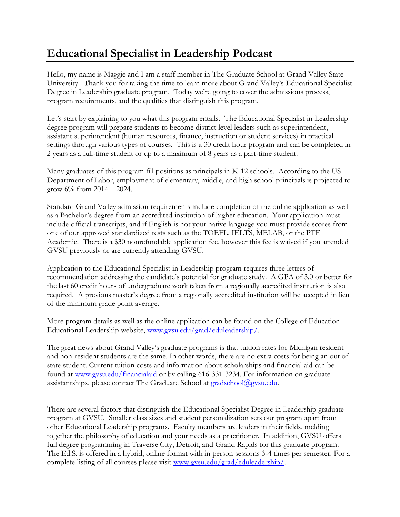## **Educational Specialist in Leadership Podcast**

Hello, my name is Maggie and I am a staff member in The Graduate School at Grand Valley State University. Thank you for taking the time to learn more about Grand Valley's Educational Specialist Degree in Leadership graduate program. Today we're going to cover the admissions process, program requirements, and the qualities that distinguish this program.

Let's start by explaining to you what this program entails. The Educational Specialist in Leadership degree program will prepare students to become district level leaders such as superintendent, assistant superintendent (human resources, finance, instruction or student services) in practical settings through various types of courses. This is a 30 credit hour program and can be completed in 2 years as a full-time student or up to a maximum of 8 years as a part-time student.

Many graduates of this program fill positions as principals in K-12 schools. According to the US Department of Labor, employment of elementary, middle, and high school principals is projected to grow  $6\%$  from  $2014 - 2024$ .

Standard Grand Valley admission requirements include completion of the online application as well as a Bachelor's degree from an accredited institution of higher education. Your application must include official transcripts, and if English is not your native language you must provide scores from one of our approved standardized tests such as the TOEFL, IELTS, MELAB, or the PTE Academic. There is a \$30 nonrefundable application fee, however this fee is waived if you attended GVSU previously or are currently attending GVSU.

Application to the Educational Specialist in Leadership program requires three letters of recommendation addressing the candidate's potential for graduate study. A GPA of 3.0 or better for the last 60 credit hours of undergraduate work taken from a regionally accredited institution is also required. A previous master's degree from a regionally accredited institution will be accepted in lieu of the minimum grade point average.

More program details as well as the online application can be found on the College of Education – Educational Leadership website, [www.gvsu.edu/grad/eduleadership/.](http://www.gvsu.edu/grad/eduleadership/)

The great news about Grand Valley's graduate programs is that tuition rates for Michigan resident and non-resident students are the same. In other words, there are no extra costs for being an out of state student. Current tuition costs and information about scholarships and financial aid can be found at [www.gvsu.edu/financialaid](http://www.gvsu.edu/financialaid) or by calling 616-331-3234. For information on graduate assistantships, please contact The Graduate School at **gradschool@gvsu.edu.** 

There are several factors that distinguish the Educational Specialist Degree in Leadership graduate program at GVSU. Smaller class sizes and student personalization sets our program apart from other Educational Leadership programs. Faculty members are leaders in their fields, melding together the philosophy of education and your needs as a practitioner. In addition, GVSU offers full degree programming in Traverse City, Detroit, and Grand Rapids for this graduate program. The Ed.S. is offered in a hybrid, online format with in person sessions 3-4 times per semester. For a complete listing of all courses please visit [www.gvsu.edu/grad/eduleadership/.](http://www.gvsu.edu/grad/eduleadership/)